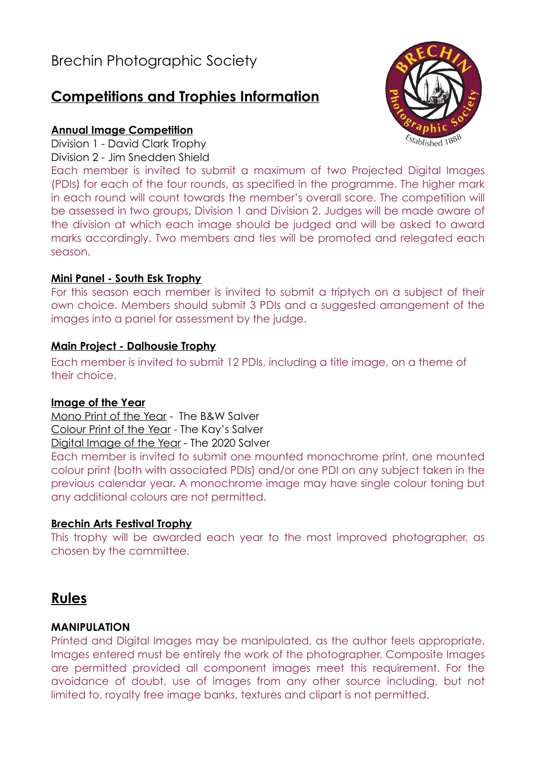# **Competitions and Trophies Information**

## **Annual Image Competition**

Division 1 - David Clark Trophy

Division 2 - Jim Snedden Shield

Each member is invited to submit a maximum of two Projected Digital Images (PDIs) for each of the four rounds, as specified in the programme. The higher mark in each round will count towards the member's overall score. The competition will be assessed in two groups, Division 1 and Division 2. Judges will be made aware of the division at which each image should be judged and will be asked to award marks accordingly. Two members and ties will be promoted and relegated each season.

## **Mini Panel - South Esk Trophy**

For this season each member is invited to submit a triptych on a subject of their own choice. Members should submit 3 PDIs and a suggested arrangement of the images into a panel for assessment by the judge.

### **Main Project - Dalhousie Trophy**

Each member is invited to submit 12 PDIs, including a title image, on a theme of their choice.

### **Image of the Year**

Mono Print of the Year - The B&W Salver Colour Print of the Year - The Kay's Salver Digital Image of the Year - The 2020 Salver

Each member is invited to submit one mounted monochrome print, one mounted colour print (both with associated PDIs) and/or one PDI on any subject taken in the previous calendar year. A monochrome image may have single colour toning but any additional colours are not permitted.

## **Brechin Arts Festival Trophy**

This trophy will be awarded each year to the most improved photographer, as chosen by the committee.

## **Rules**

## **MANIPULATION**

Printed and Digital Images may be manipulated, as the author feels appropriate. Images entered must be entirely the work of the photographer. Composite Images are permitted provided all component images meet this requirement. For the avoidance of doubt, use of images from any other source including, but not limited to, royalty free image banks, textures and clipart is not permitted.